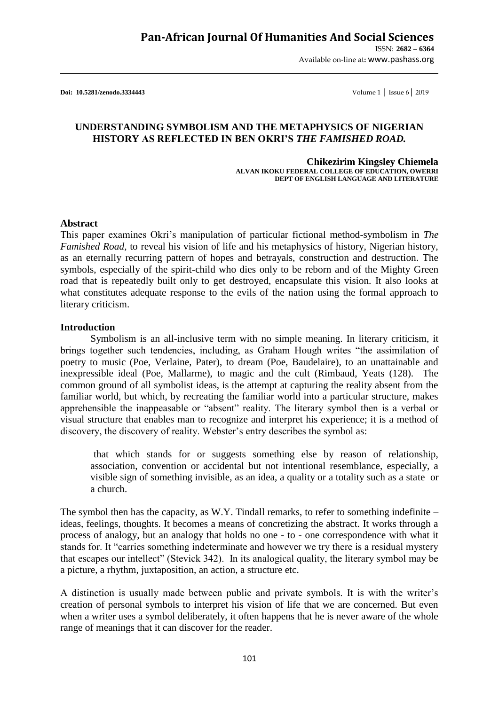ISSN: **2682 – 6364** Available on-line at**:** www.pashass.org

**Doi: 10.5281/zenodo.3334443** Volume 1 │ Issue 6│ 2019

## **UNDERSTANDING SYMBOLISM AND THE METAPHYSICS OF NIGERIAN HISTORY AS REFLECTED IN BEN OKRI'S** *THE FAMISHED ROAD.*

**Chikezirim Kingsley Chiemela ALVAN IKOKU FEDERAL COLLEGE OF EDUCATION, OWERRI DEPT OF ENGLISH LANGUAGE AND LITERATURE**

#### **Abstract**

This paper examines Okri"s manipulation of particular fictional method-symbolism in *The Famished Road,* to reveal his vision of life and his metaphysics of history, Nigerian history, as an eternally recurring pattern of hopes and betrayals, construction and destruction. The symbols, especially of the spirit-child who dies only to be reborn and of the Mighty Green road that is repeatedly built only to get destroyed, encapsulate this vision. It also looks at what constitutes adequate response to the evils of the nation using the formal approach to literary criticism.

#### **Introduction**

Symbolism is an all-inclusive term with no simple meaning. In literary criticism, it brings together such tendencies, including, as Graham Hough writes "the assimilation of poetry to music (Poe, Verlaine, Pater), to dream (Poe, Baudelaire), to an unattainable and inexpressible ideal (Poe, Mallarme), to magic and the cult (Rimbaud, Yeats (128). The common ground of all symbolist ideas, is the attempt at capturing the reality absent from the familiar world, but which, by recreating the familiar world into a particular structure, makes apprehensible the inappeasable or "absent" reality. The literary symbol then is a verbal or visual structure that enables man to recognize and interpret his experience; it is a method of discovery, the discovery of reality. Webster's entry describes the symbol as:

that which stands for or suggests something else by reason of relationship, association, convention or accidental but not intentional resemblance, especially, a visible sign of something invisible, as an idea, a quality or a totality such as a state or a church.

The symbol then has the capacity, as W.Y. Tindall remarks, to refer to something indefinite – ideas, feelings, thoughts. It becomes a means of concretizing the abstract. It works through a process of analogy, but an analogy that holds no one - to - one correspondence with what it stands for. It "carries something indeterminate and however we try there is a residual mystery that escapes our intellect" (Stevick 342). In its analogical quality, the literary symbol may be a picture, a rhythm, juxtaposition, an action, a structure etc.

A distinction is usually made between public and private symbols. It is with the writer"s creation of personal symbols to interpret his vision of life that we are concerned. But even when a writer uses a symbol deliberately, it often happens that he is never aware of the whole range of meanings that it can discover for the reader.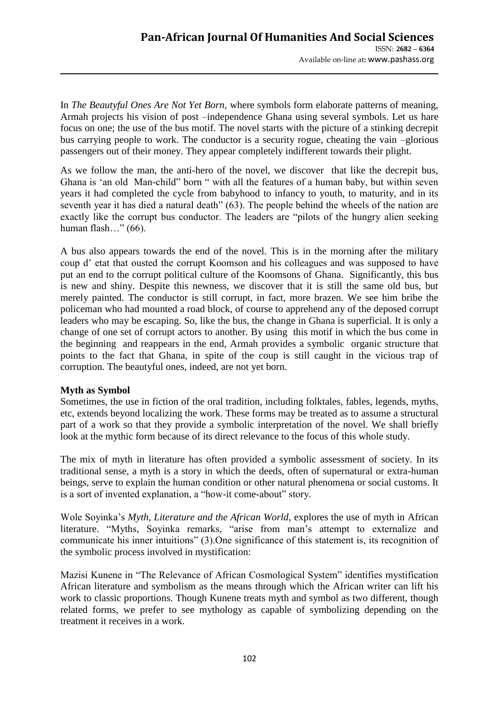In *The Beautyful Ones Are Not Yet Born,* where symbols form elaborate patterns of meaning, Armah projects his vision of post –independence Ghana using several symbols. Let us hare focus on one; the use of the bus motif. The novel starts with the picture of a stinking decrepit bus carrying people to work. The conductor is a security rogue, cheating the vain –glorious passengers out of their money. They appear completely indifferent towards their plight.

As we follow the man, the anti-hero of the novel, we discover that like the decrepit bus, Ghana is "an old Man-child" born " with all the features of a human baby, but within seven years it had completed the cycle from babyhood to infancy to youth, to maturity, and in its seventh year it has died a natural death" (63). The people behind the wheels of the nation are exactly like the corrupt bus conductor. The leaders are "pilots of the hungry alien seeking human flash…" (66).

A bus also appears towards the end of the novel. This is in the morning after the military coup d" etat that ousted the corrupt Koomson and his colleagues and was supposed to have put an end to the corrupt political culture of the Koomsons of Ghana. Significantly, this bus is new and shiny. Despite this newness, we discover that it is still the same old bus, but merely painted. The conductor is still corrupt, in fact, more brazen. We see him bribe the policeman who had mounted a road block, of course to apprehend any of the deposed corrupt leaders who may be escaping. So, like the bus, the change in Ghana is superficial. It is only a change of one set of corrupt actors to another. By using this motif in which the bus come in the beginning and reappears in the end, Armah provides a symbolic organic structure that points to the fact that Ghana, in spite of the coup is still caught in the vicious trap of corruption. The beautyful ones, indeed, are not yet born.

## **Myth as Symbol**

Sometimes, the use in fiction of the oral tradition, including folktales, fables, legends, myths, etc, extends beyond localizing the work. These forms may be treated as to assume a structural part of a work so that they provide a symbolic interpretation of the novel. We shall briefly look at the mythic form because of its direct relevance to the focus of this whole study.

The mix of myth in literature has often provided a symbolic assessment of society. In its traditional sense, a myth is a story in which the deeds, often of supernatural or extra-human beings, serve to explain the human condition or other natural phenomena or social customs. It is a sort of invented explanation, a "how-it come-about" story.

Wole Soyinka"s *Myth, Literature and the African World*, explores the use of myth in African literature. "Myths, Soyinka remarks, "arise from man's attempt to externalize and communicate his inner intuitions" (3).One significance of this statement is, its recognition of the symbolic process involved in mystification:

Mazisi Kunene in "The Relevance of African Cosmological System" identifies mystification African literature and symbolism as the means through which the African writer can lift his work to classic proportions. Though Kunene treats myth and symbol as two different, though related forms, we prefer to see mythology as capable of symbolizing depending on the treatment it receives in a work.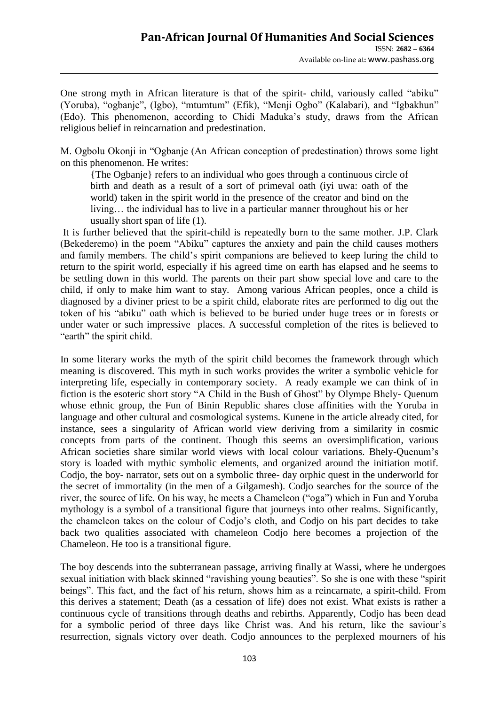One strong myth in African literature is that of the spirit- child, variously called "abiku" (Yoruba), "ogbanje", (Igbo), "mtumtum" (Efik), "Menji Ogbo" (Kalabari), and "Igbakhun" (Edo). This phenomenon, according to Chidi Maduka"s study, draws from the African religious belief in reincarnation and predestination.

M. Ogbolu Okonji in "Ogbanje (An African conception of predestination) throws some light on this phenomenon. He writes:

{The Ogbanje} refers to an individual who goes through a continuous circle of birth and death as a result of a sort of primeval oath (iyi uwa: oath of the world) taken in the spirit world in the presence of the creator and bind on the living… the individual has to live in a particular manner throughout his or her usually short span of life (1).

It is further believed that the spirit-child is repeatedly born to the same mother. J.P. Clark (Bekederemo) in the poem "Abiku" captures the anxiety and pain the child causes mothers and family members. The child"s spirit companions are believed to keep luring the child to return to the spirit world, especially if his agreed time on earth has elapsed and he seems to be settling down in this world. The parents on their part show special love and care to the child, if only to make him want to stay. Among various African peoples, once a child is diagnosed by a diviner priest to be a spirit child, elaborate rites are performed to dig out the token of his "abiku" oath which is believed to be buried under huge trees or in forests or under water or such impressive places. A successful completion of the rites is believed to "earth" the spirit child.

In some literary works the myth of the spirit child becomes the framework through which meaning is discovered. This myth in such works provides the writer a symbolic vehicle for interpreting life, especially in contemporary society. A ready example we can think of in fiction is the esoteric short story "A Child in the Bush of Ghost" by Olympe Bhely- Quenum whose ethnic group, the Fun of Binin Republic shares close affinities with the Yoruba in language and other cultural and cosmological systems. Kunene in the article already cited, for instance, sees a singularity of African world view deriving from a similarity in cosmic concepts from parts of the continent. Though this seems an oversimplification, various African societies share similar world views with local colour variations. Bhely-Quenum"s story is loaded with mythic symbolic elements, and organized around the initiation motif. Codjo, the boy- narrator, sets out on a symbolic three- day orphic quest in the underworld for the secret of immortality (in the men of a Gilgamesh). Codjo searches for the source of the river, the source of life. On his way, he meets a Chameleon ("oga") which in Fun and Yoruba mythology is a symbol of a transitional figure that journeys into other realms. Significantly, the chameleon takes on the colour of Codjo"s cloth, and Codjo on his part decides to take back two qualities associated with chameleon Codjo here becomes a projection of the Chameleon. He too is a transitional figure.

The boy descends into the subterranean passage, arriving finally at Wassi, where he undergoes sexual initiation with black skinned "ravishing young beauties". So she is one with these "spirit beings". This fact, and the fact of his return, shows him as a reincarnate, a spirit-child. From this derives a statement; Death (as a cessation of life) does not exist. What exists is rather a continuous cycle of transitions through deaths and rebirths. Apparently, Codjo has been dead for a symbolic period of three days like Christ was. And his return, like the saviour"s resurrection, signals victory over death. Codjo announces to the perplexed mourners of his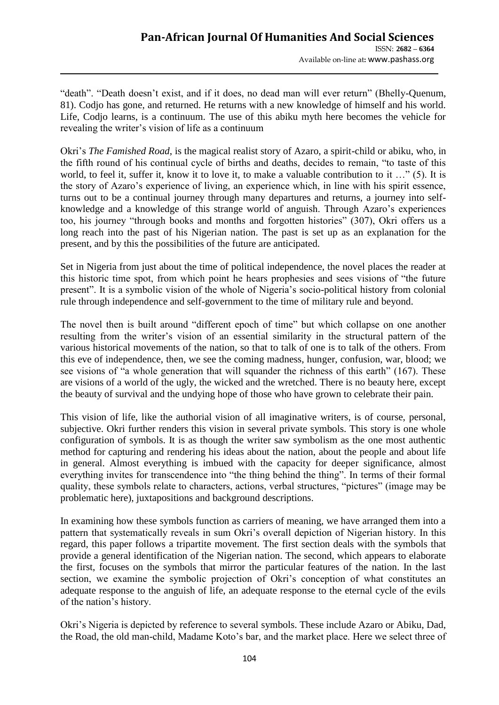"death". "Death doesn"t exist, and if it does, no dead man will ever return" (Bhelly-Quenum, 81). Codjo has gone, and returned. He returns with a new knowledge of himself and his world. Life, Codjo learns, is a continuum. The use of this abiku myth here becomes the vehicle for revealing the writer's vision of life as a continuum

Okri"s *The Famished Road*, is the magical realist story of Azaro, a spirit-child or abiku, who, in the fifth round of his continual cycle of births and deaths, decides to remain, "to taste of this world, to feel it, suffer it, know it to love it, to make a valuable contribution to it ..." (5). It is the story of Azaro"s experience of living, an experience which, in line with his spirit essence, turns out to be a continual journey through many departures and returns, a journey into selfknowledge and a knowledge of this strange world of anguish. Through Azaro"s experiences too, his journey "through books and months and forgotten histories" (307), Okri offers us a long reach into the past of his Nigerian nation. The past is set up as an explanation for the present, and by this the possibilities of the future are anticipated.

Set in Nigeria from just about the time of political independence, the novel places the reader at this historic time spot, from which point he hears prophesies and sees visions of "the future present". It is a symbolic vision of the whole of Nigeria"s socio-political history from colonial rule through independence and self-government to the time of military rule and beyond.

The novel then is built around "different epoch of time" but which collapse on one another resulting from the writer"s vision of an essential similarity in the structural pattern of the various historical movements of the nation, so that to talk of one is to talk of the others. From this eve of independence, then, we see the coming madness, hunger, confusion, war, blood; we see visions of "a whole generation that will squander the richness of this earth" (167). These are visions of a world of the ugly, the wicked and the wretched. There is no beauty here, except the beauty of survival and the undying hope of those who have grown to celebrate their pain.

This vision of life, like the authorial vision of all imaginative writers, is of course, personal, subjective. Okri further renders this vision in several private symbols. This story is one whole configuration of symbols. It is as though the writer saw symbolism as the one most authentic method for capturing and rendering his ideas about the nation, about the people and about life in general. Almost everything is imbued with the capacity for deeper significance, almost everything invites for transcendence into "the thing behind the thing". In terms of their formal quality, these symbols relate to characters, actions, verbal structures, "pictures" (image may be problematic here), juxtapositions and background descriptions.

In examining how these symbols function as carriers of meaning, we have arranged them into a pattern that systematically reveals in sum Okri's overall depiction of Nigerian history. In this regard, this paper follows a tripartite movement. The first section deals with the symbols that provide a general identification of the Nigerian nation. The second, which appears to elaborate the first, focuses on the symbols that mirror the particular features of the nation. In the last section, we examine the symbolic projection of Okri's conception of what constitutes an adequate response to the anguish of life, an adequate response to the eternal cycle of the evils of the nation"s history.

Okri"s Nigeria is depicted by reference to several symbols. These include Azaro or Abiku, Dad, the Road, the old man-child, Madame Koto"s bar, and the market place. Here we select three of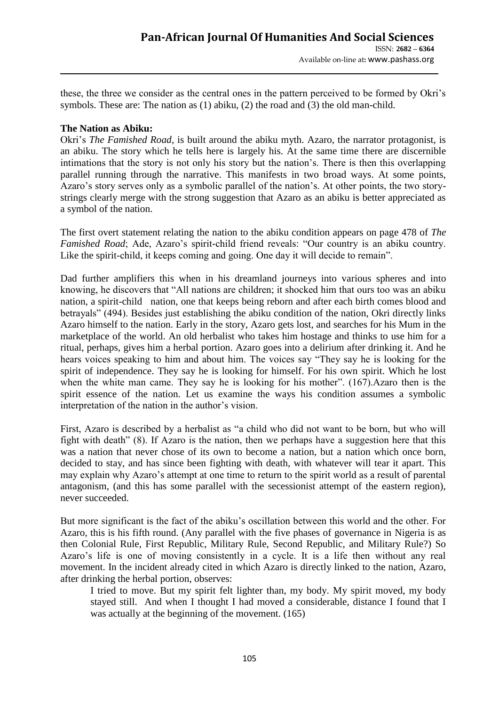these, the three we consider as the central ones in the pattern perceived to be formed by Okri"s symbols. These are: The nation as (1) abiku, (2) the road and (3) the old man-child.

## **The Nation as Abiku:**

Okri"s *The Famished Road*, is built around the abiku myth. Azaro, the narrator protagonist, is an abiku. The story which he tells here is largely his. At the same time there are discernible intimations that the story is not only his story but the nation"s. There is then this overlapping parallel running through the narrative. This manifests in two broad ways. At some points, Azaro"s story serves only as a symbolic parallel of the nation"s. At other points, the two storystrings clearly merge with the strong suggestion that Azaro as an abiku is better appreciated as a symbol of the nation.

The first overt statement relating the nation to the abiku condition appears on page 478 of *The Famished Road*; Ade, Azaro's spirit-child friend reveals: "Our country is an abiku country. Like the spirit-child, it keeps coming and going. One day it will decide to remain".

Dad further amplifiers this when in his dreamland journeys into various spheres and into knowing, he discovers that "All nations are children; it shocked him that ours too was an abiku nation, a spirit-child nation, one that keeps being reborn and after each birth comes blood and betrayals" (494). Besides just establishing the abiku condition of the nation, Okri directly links Azaro himself to the nation. Early in the story, Azaro gets lost, and searches for his Mum in the marketplace of the world. An old herbalist who takes him hostage and thinks to use him for a ritual, perhaps, gives him a herbal portion. Azaro goes into a delirium after drinking it. And he hears voices speaking to him and about him. The voices say "They say he is looking for the spirit of independence. They say he is looking for himself. For his own spirit. Which he lost when the white man came. They say he is looking for his mother". (167).Azaro then is the spirit essence of the nation. Let us examine the ways his condition assumes a symbolic interpretation of the nation in the author's vision.

First, Azaro is described by a herbalist as "a child who did not want to be born, but who will fight with death" (8). If Azaro is the nation, then we perhaps have a suggestion here that this was a nation that never chose of its own to become a nation, but a nation which once born, decided to stay, and has since been fighting with death, with whatever will tear it apart. This may explain why Azaro's attempt at one time to return to the spirit world as a result of parental antagonism, (and this has some parallel with the secessionist attempt of the eastern region), never succeeded.

But more significant is the fact of the abiku"s oscillation between this world and the other. For Azaro, this is his fifth round. (Any parallel with the five phases of governance in Nigeria is as then Colonial Rule, First Republic, Military Rule, Second Republic, and Military Rule?) So Azaro"s life is one of moving consistently in a cycle. It is a life then without any real movement. In the incident already cited in which Azaro is directly linked to the nation, Azaro, after drinking the herbal portion, observes:

I tried to move. But my spirit felt lighter than, my body. My spirit moved, my body stayed still. And when I thought I had moved a considerable, distance I found that I was actually at the beginning of the movement. (165)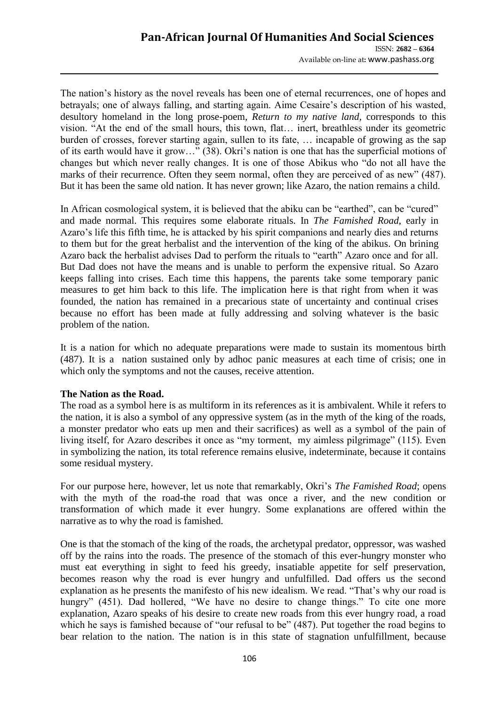The nation's history as the novel reveals has been one of eternal recurrences, one of hopes and betrayals; one of always falling, and starting again. Aime Cesaire's description of his wasted, desultory homeland in the long prose-poem, *Return to my native land,* corresponds to this vision. "At the end of the small hours, this town, flat… inert, breathless under its geometric burden of crosses, forever starting again, sullen to its fate, … incapable of growing as the sap of its earth would have it grow…" (38). Okri"s nation is one that has the superficial motions of changes but which never really changes. It is one of those Abikus who "do not all have the marks of their recurrence. Often they seem normal, often they are perceived of as new" (487). But it has been the same old nation. It has never grown; like Azaro, the nation remains a child.

In African cosmological system, it is believed that the abiku can be "earthed", can be "cured" and made normal. This requires some elaborate rituals. In *The Famished Road,* early in Azaro"s life this fifth time, he is attacked by his spirit companions and nearly dies and returns to them but for the great herbalist and the intervention of the king of the abikus. On brining Azaro back the herbalist advises Dad to perform the rituals to "earth" Azaro once and for all. But Dad does not have the means and is unable to perform the expensive ritual. So Azaro keeps falling into crises. Each time this happens, the parents take some temporary panic measures to get him back to this life. The implication here is that right from when it was founded, the nation has remained in a precarious state of uncertainty and continual crises because no effort has been made at fully addressing and solving whatever is the basic problem of the nation.

It is a nation for which no adequate preparations were made to sustain its momentous birth (487). It is a nation sustained only by adhoc panic measures at each time of crisis; one in which only the symptoms and not the causes, receive attention.

# **The Nation as the Road.**

The road as a symbol here is as multiform in its references as it is ambivalent. While it refers to the nation, it is also a symbol of any oppressive system (as in the myth of the king of the roads, a monster predator who eats up men and their sacrifices) as well as a symbol of the pain of living itself, for Azaro describes it once as "my torment, my aimless pilgrimage" (115). Even in symbolizing the nation, its total reference remains elusive, indeterminate, because it contains some residual mystery.

For our purpose here, however, let us note that remarkably, Okri"s *The Famished Road*; opens with the myth of the road-the road that was once a river, and the new condition or transformation of which made it ever hungry. Some explanations are offered within the narrative as to why the road is famished.

One is that the stomach of the king of the roads, the archetypal predator, oppressor, was washed off by the rains into the roads. The presence of the stomach of this ever-hungry monster who must eat everything in sight to feed his greedy, insatiable appetite for self preservation, becomes reason why the road is ever hungry and unfulfilled. Dad offers us the second explanation as he presents the manifesto of his new idealism. We read. "That's why our road is hungry" (451). Dad hollered, "We have no desire to change things." To cite one more explanation, Azaro speaks of his desire to create new roads from this ever hungry road, a road which he says is famished because of "our refusal to be" (487). Put together the road begins to bear relation to the nation. The nation is in this state of stagnation unfulfillment, because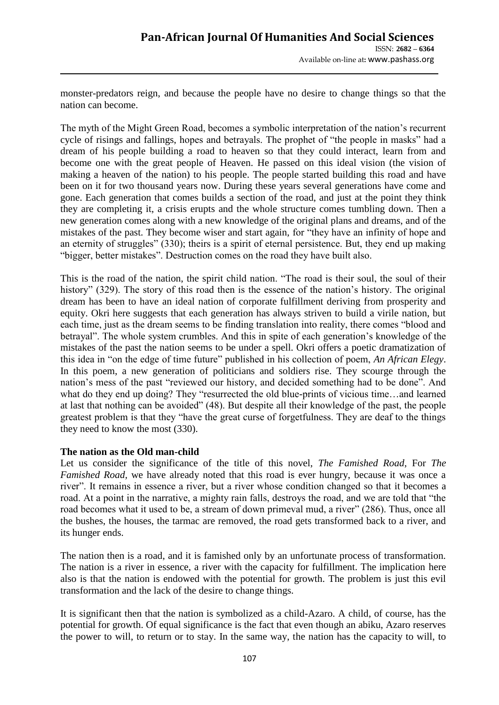monster-predators reign, and because the people have no desire to change things so that the nation can become.

The myth of the Might Green Road, becomes a symbolic interpretation of the nation"s recurrent cycle of risings and fallings, hopes and betrayals. The prophet of "the people in masks" had a dream of his people building a road to heaven so that they could interact, learn from and become one with the great people of Heaven. He passed on this ideal vision (the vision of making a heaven of the nation) to his people. The people started building this road and have been on it for two thousand years now. During these years several generations have come and gone. Each generation that comes builds a section of the road, and just at the point they think they are completing it, a crisis erupts and the whole structure comes tumbling down. Then a new generation comes along with a new knowledge of the original plans and dreams, and of the mistakes of the past. They become wiser and start again, for "they have an infinity of hope and an eternity of struggles" (330); theirs is a spirit of eternal persistence. But, they end up making "bigger, better mistakes". Destruction comes on the road they have built also.

This is the road of the nation, the spirit child nation. "The road is their soul, the soul of their history" (329). The story of this road then is the essence of the nation's history. The original dream has been to have an ideal nation of corporate fulfillment deriving from prosperity and equity. Okri here suggests that each generation has always striven to build a virile nation, but each time, just as the dream seems to be finding translation into reality, there comes "blood and betrayal". The whole system crumbles. And this in spite of each generation"s knowledge of the mistakes of the past the nation seems to be under a spell. Okri offers a poetic dramatization of this idea in "on the edge of time future" published in his collection of poem, *An African Elegy*. In this poem, a new generation of politicians and soldiers rise. They scourge through the nation"s mess of the past "reviewed our history, and decided something had to be done". And what do they end up doing? They "resurrected the old blue-prints of vicious time...and learned at last that nothing can be avoided" (48). But despite all their knowledge of the past, the people greatest problem is that they "have the great curse of forgetfulness. They are deaf to the things they need to know the most (330).

## **The nation as the Old man-child**

Let us consider the significance of the title of this novel, *The Famished Road*, For *The Famished Road,* we have already noted that this road is ever hungry, because it was once a river". It remains in essence a river, but a river whose condition changed so that it becomes a road. At a point in the narrative, a mighty rain falls, destroys the road, and we are told that "the road becomes what it used to be, a stream of down primeval mud, a river" (286). Thus, once all the bushes, the houses, the tarmac are removed, the road gets transformed back to a river, and its hunger ends.

The nation then is a road, and it is famished only by an unfortunate process of transformation. The nation is a river in essence, a river with the capacity for fulfillment. The implication here also is that the nation is endowed with the potential for growth. The problem is just this evil transformation and the lack of the desire to change things.

It is significant then that the nation is symbolized as a child-Azaro. A child, of course, has the potential for growth. Of equal significance is the fact that even though an abiku, Azaro reserves the power to will, to return or to stay. In the same way, the nation has the capacity to will, to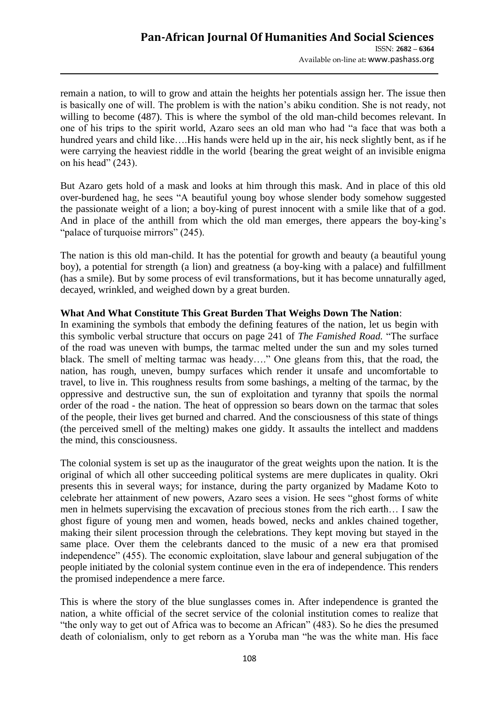remain a nation, to will to grow and attain the heights her potentials assign her. The issue then is basically one of will. The problem is with the nation"s abiku condition. She is not ready, not willing to become (487). This is where the symbol of the old man-child becomes relevant. In one of his trips to the spirit world, Azaro sees an old man who had "a face that was both a hundred years and child like….His hands were held up in the air, his neck slightly bent, as if he were carrying the heaviest riddle in the world {bearing the great weight of an invisible enigma on his head" (243).

But Azaro gets hold of a mask and looks at him through this mask. And in place of this old over-burdened hag, he sees "A beautiful young boy whose slender body somehow suggested the passionate weight of a lion; a boy-king of purest innocent with a smile like that of a god. And in place of the anthill from which the old man emerges, there appears the boy-king"s "palace of turquoise mirrors" (245).

The nation is this old man-child. It has the potential for growth and beauty (a beautiful young boy), a potential for strength (a lion) and greatness (a boy-king with a palace) and fulfillment (has a smile). But by some process of evil transformations, but it has become unnaturally aged, decayed, wrinkled, and weighed down by a great burden.

## **What And What Constitute This Great Burden That Weighs Down The Nation**:

In examining the symbols that embody the defining features of the nation, let us begin with this symbolic verbal structure that occurs on page 241 of *The Famished Road.* "The surface of the road was uneven with bumps, the tarmac melted under the sun and my soles turned black. The smell of melting tarmac was heady…." One gleans from this, that the road, the nation, has rough, uneven, bumpy surfaces which render it unsafe and uncomfortable to travel, to live in. This roughness results from some bashings, a melting of the tarmac, by the oppressive and destructive sun, the sun of exploitation and tyranny that spoils the normal order of the road - the nation. The heat of oppression so bears down on the tarmac that soles of the people, their lives get burned and charred. And the consciousness of this state of things (the perceived smell of the melting) makes one giddy. It assaults the intellect and maddens the mind, this consciousness.

The colonial system is set up as the inaugurator of the great weights upon the nation. It is the original of which all other succeeding political systems are mere duplicates in quality. Okri presents this in several ways; for instance, during the party organized by Madame Koto to celebrate her attainment of new powers, Azaro sees a vision. He sees "ghost forms of white men in helmets supervising the excavation of precious stones from the rich earth… I saw the ghost figure of young men and women, heads bowed, necks and ankles chained together, making their silent procession through the celebrations. They kept moving but stayed in the same place. Over them the celebrants danced to the music of a new era that promised independence" (455). The economic exploitation, slave labour and general subjugation of the people initiated by the colonial system continue even in the era of independence. This renders the promised independence a mere farce.

This is where the story of the blue sunglasses comes in. After independence is granted the nation, a white official of the secret service of the colonial institution comes to realize that "the only way to get out of Africa was to become an African" (483). So he dies the presumed death of colonialism, only to get reborn as a Yoruba man "he was the white man. His face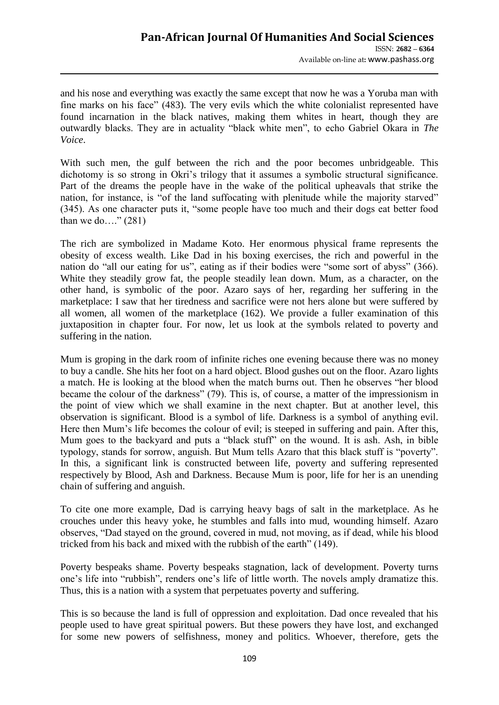and his nose and everything was exactly the same except that now he was a Yoruba man with fine marks on his face" (483). The very evils which the white colonialist represented have found incarnation in the black natives, making them whites in heart, though they are outwardly blacks. They are in actuality "black white men", to echo Gabriel Okara in *The Voice*.

With such men, the gulf between the rich and the poor becomes unbridgeable. This dichotomy is so strong in Okri's trilogy that it assumes a symbolic structural significance. Part of the dreams the people have in the wake of the political upheavals that strike the nation, for instance, is "of the land suffocating with plenitude while the majority starved" (345). As one character puts it, "some people have too much and their dogs eat better food than we do…."  $(281)$ 

The rich are symbolized in Madame Koto. Her enormous physical frame represents the obesity of excess wealth. Like Dad in his boxing exercises, the rich and powerful in the nation do "all our eating for us", eating as if their bodies were "some sort of abyss" (366). White they steadily grow fat, the people steadily lean down. Mum, as a character, on the other hand, is symbolic of the poor. Azaro says of her, regarding her suffering in the marketplace: I saw that her tiredness and sacrifice were not hers alone but were suffered by all women, all women of the marketplace (162). We provide a fuller examination of this juxtaposition in chapter four. For now, let us look at the symbols related to poverty and suffering in the nation.

Mum is groping in the dark room of infinite riches one evening because there was no money to buy a candle. She hits her foot on a hard object. Blood gushes out on the floor. Azaro lights a match. He is looking at the blood when the match burns out. Then he observes "her blood became the colour of the darkness" (79). This is, of course, a matter of the impressionism in the point of view which we shall examine in the next chapter. But at another level, this observation is significant. Blood is a symbol of life. Darkness is a symbol of anything evil. Here then Mum"s life becomes the colour of evil; is steeped in suffering and pain. After this, Mum goes to the backyard and puts a "black stuff" on the wound. It is ash. Ash, in bible typology, stands for sorrow, anguish. But Mum tells Azaro that this black stuff is "poverty". In this, a significant link is constructed between life, poverty and suffering represented respectively by Blood, Ash and Darkness. Because Mum is poor, life for her is an unending chain of suffering and anguish.

To cite one more example, Dad is carrying heavy bags of salt in the marketplace. As he crouches under this heavy yoke, he stumbles and falls into mud, wounding himself. Azaro observes, "Dad stayed on the ground, covered in mud, not moving, as if dead, while his blood tricked from his back and mixed with the rubbish of the earth" (149).

Poverty bespeaks shame. Poverty bespeaks stagnation, lack of development. Poverty turns one's life into "rubbish", renders one's life of little worth. The novels amply dramatize this. Thus, this is a nation with a system that perpetuates poverty and suffering.

This is so because the land is full of oppression and exploitation. Dad once revealed that his people used to have great spiritual powers. But these powers they have lost, and exchanged for some new powers of selfishness, money and politics. Whoever, therefore, gets the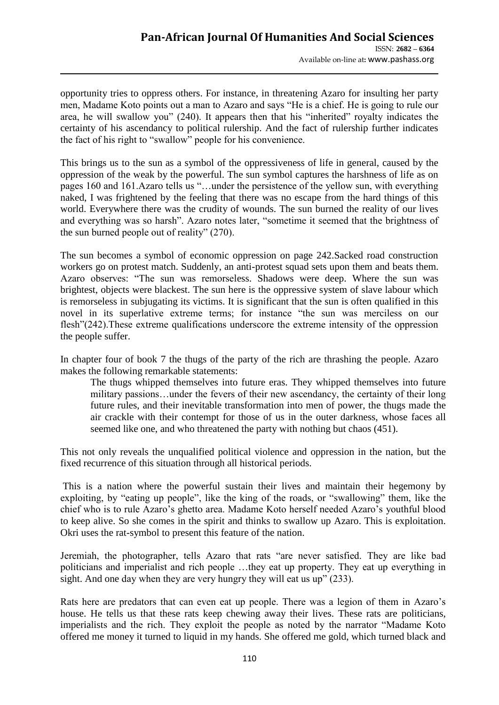opportunity tries to oppress others. For instance, in threatening Azaro for insulting her party men, Madame Koto points out a man to Azaro and says "He is a chief. He is going to rule our area, he will swallow you" (240). It appears then that his "inherited" royalty indicates the certainty of his ascendancy to political rulership. And the fact of rulership further indicates the fact of his right to "swallow" people for his convenience.

This brings us to the sun as a symbol of the oppressiveness of life in general, caused by the oppression of the weak by the powerful. The sun symbol captures the harshness of life as on pages 160 and 161.Azaro tells us "…under the persistence of the yellow sun, with everything naked, I was frightened by the feeling that there was no escape from the hard things of this world. Everywhere there was the crudity of wounds. The sun burned the reality of our lives and everything was so harsh". Azaro notes later, "sometime it seemed that the brightness of the sun burned people out of reality" (270).

The sun becomes a symbol of economic oppression on page 242.Sacked road construction workers go on protest match. Suddenly, an anti-protest squad sets upon them and beats them. Azaro observes: "The sun was remorseless. Shadows were deep. Where the sun was brightest, objects were blackest. The sun here is the oppressive system of slave labour which is remorseless in subjugating its victims. It is significant that the sun is often qualified in this novel in its superlative extreme terms; for instance "the sun was merciless on our flesh"(242).These extreme qualifications underscore the extreme intensity of the oppression the people suffer.

In chapter four of book 7 the thugs of the party of the rich are thrashing the people. Azaro makes the following remarkable statements:

The thugs whipped themselves into future eras. They whipped themselves into future military passions…under the fevers of their new ascendancy, the certainty of their long future rules, and their inevitable transformation into men of power, the thugs made the air crackle with their contempt for those of us in the outer darkness, whose faces all seemed like one, and who threatened the party with nothing but chaos (451).

This not only reveals the unqualified political violence and oppression in the nation, but the fixed recurrence of this situation through all historical periods.

This is a nation where the powerful sustain their lives and maintain their hegemony by exploiting, by "eating up people", like the king of the roads, or "swallowing" them, like the chief who is to rule Azaro"s ghetto area. Madame Koto herself needed Azaro"s youthful blood to keep alive. So she comes in the spirit and thinks to swallow up Azaro. This is exploitation. Okri uses the rat-symbol to present this feature of the nation.

Jeremiah, the photographer, tells Azaro that rats "are never satisfied. They are like bad politicians and imperialist and rich people …they eat up property. They eat up everything in sight. And one day when they are very hungry they will eat us up" (233).

Rats here are predators that can even eat up people. There was a legion of them in Azaro's house. He tells us that these rats keep chewing away their lives. These rats are politicians, imperialists and the rich. They exploit the people as noted by the narrator "Madame Koto offered me money it turned to liquid in my hands. She offered me gold, which turned black and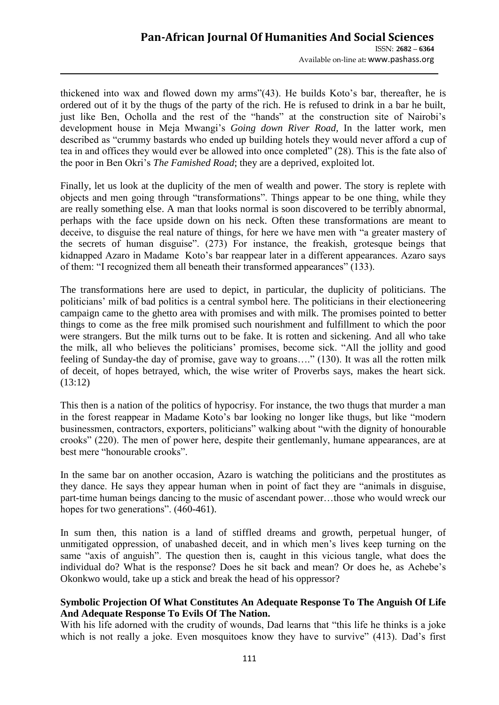thickened into wax and flowed down my arms"(43). He builds Koto"s bar, thereafter, he is ordered out of it by the thugs of the party of the rich. He is refused to drink in a bar he built, just like Ben, Ocholla and the rest of the "hands" at the construction site of Nairobi"s development house in Meja Mwangi"s *Going down River Road,* In the latter work, men described as "crummy bastards who ended up building hotels they would never afford a cup of tea in and offices they would ever be allowed into once completed" (28). This is the fate also of the poor in Ben Okri"s *The Famished Road*; they are a deprived, exploited lot.

Finally, let us look at the duplicity of the men of wealth and power. The story is replete with objects and men going through "transformations". Things appear to be one thing, while they are really something else. A man that looks normal is soon discovered to be terribly abnormal, perhaps with the face upside down on his neck. Often these transformations are meant to deceive, to disguise the real nature of things, for here we have men with "a greater mastery of the secrets of human disguise". (273) For instance, the freakish, grotesque beings that kidnapped Azaro in Madame Koto"s bar reappear later in a different appearances. Azaro says of them: "I recognized them all beneath their transformed appearances" (133).

The transformations here are used to depict, in particular, the duplicity of politicians. The politicians' milk of bad politics is a central symbol here. The politicians in their electioneering campaign came to the ghetto area with promises and with milk. The promises pointed to better things to come as the free milk promised such nourishment and fulfillment to which the poor were strangers. But the milk turns out to be fake. It is rotten and sickening. And all who take the milk, all who believes the politicians" promises, become sick. "All the jollity and good feeling of Sunday-the day of promise, gave way to groans…." (130). It was all the rotten milk of deceit, of hopes betrayed, which, the wise writer of Proverbs says, makes the heart sick. (13:12)

This then is a nation of the politics of hypocrisy. For instance, the two thugs that murder a man in the forest reappear in Madame Koto"s bar looking no longer like thugs, but like "modern businessmen, contractors, exporters, politicians" walking about "with the dignity of honourable crooks" (220). The men of power here, despite their gentlemanly, humane appearances, are at best mere "honourable crooks".

In the same bar on another occasion, Azaro is watching the politicians and the prostitutes as they dance. He says they appear human when in point of fact they are "animals in disguise, part-time human beings dancing to the music of ascendant power…those who would wreck our hopes for two generations".  $(460-461)$ .

In sum then, this nation is a land of stiffled dreams and growth, perpetual hunger, of unmitigated oppression, of unabashed deceit, and in which men"s lives keep turning on the same "axis of anguish". The question then is, caught in this vicious tangle, what does the individual do? What is the response? Does he sit back and mean? Or does he, as Achebe"s Okonkwo would, take up a stick and break the head of his oppressor?

## **Symbolic Projection Of What Constitutes An Adequate Response To The Anguish Of Life And Adequate Response To Evils Of The Nation.**

With his life adorned with the crudity of wounds, Dad learns that "this life he thinks is a joke which is not really a joke. Even mosquitoes know they have to survive" (413). Dad's first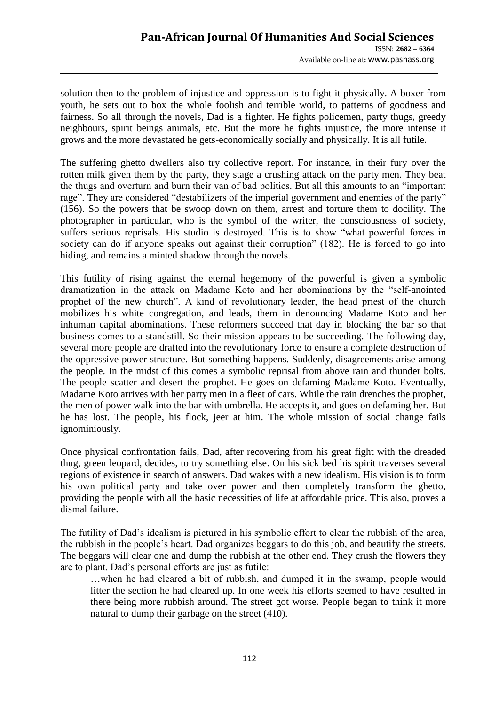solution then to the problem of injustice and oppression is to fight it physically. A boxer from youth, he sets out to box the whole foolish and terrible world, to patterns of goodness and fairness. So all through the novels, Dad is a fighter. He fights policemen, party thugs, greedy neighbours, spirit beings animals, etc. But the more he fights injustice, the more intense it grows and the more devastated he gets-economically socially and physically. It is all futile.

The suffering ghetto dwellers also try collective report. For instance, in their fury over the rotten milk given them by the party, they stage a crushing attack on the party men. They beat the thugs and overturn and burn their van of bad politics. But all this amounts to an "important rage". They are considered "destabilizers of the imperial government and enemies of the party" (156). So the powers that be swoop down on them, arrest and torture them to docility. The photographer in particular, who is the symbol of the writer, the consciousness of society, suffers serious reprisals. His studio is destroyed. This is to show "what powerful forces in society can do if anyone speaks out against their corruption" (182). He is forced to go into hiding, and remains a minted shadow through the novels.

This futility of rising against the eternal hegemony of the powerful is given a symbolic dramatization in the attack on Madame Koto and her abominations by the "self-anointed prophet of the new church". A kind of revolutionary leader, the head priest of the church mobilizes his white congregation, and leads, them in denouncing Madame Koto and her inhuman capital abominations. These reformers succeed that day in blocking the bar so that business comes to a standstill. So their mission appears to be succeeding. The following day, several more people are drafted into the revolutionary force to ensure a complete destruction of the oppressive power structure. But something happens. Suddenly, disagreements arise among the people. In the midst of this comes a symbolic reprisal from above rain and thunder bolts. The people scatter and desert the prophet. He goes on defaming Madame Koto. Eventually, Madame Koto arrives with her party men in a fleet of cars. While the rain drenches the prophet, the men of power walk into the bar with umbrella. He accepts it, and goes on defaming her. But he has lost. The people, his flock, jeer at him. The whole mission of social change fails ignominiously.

Once physical confrontation fails, Dad, after recovering from his great fight with the dreaded thug, green leopard, decides, to try something else. On his sick bed his spirit traverses several regions of existence in search of answers. Dad wakes with a new idealism. His vision is to form his own political party and take over power and then completely transform the ghetto, providing the people with all the basic necessities of life at affordable price. This also, proves a dismal failure.

The futility of Dad"s idealism is pictured in his symbolic effort to clear the rubbish of the area, the rubbish in the people"s heart. Dad organizes beggars to do this job, and beautify the streets. The beggars will clear one and dump the rubbish at the other end. They crush the flowers they are to plant. Dad"s personal efforts are just as futile:

…when he had cleared a bit of rubbish, and dumped it in the swamp, people would litter the section he had cleared up. In one week his efforts seemed to have resulted in there being more rubbish around. The street got worse. People began to think it more natural to dump their garbage on the street (410).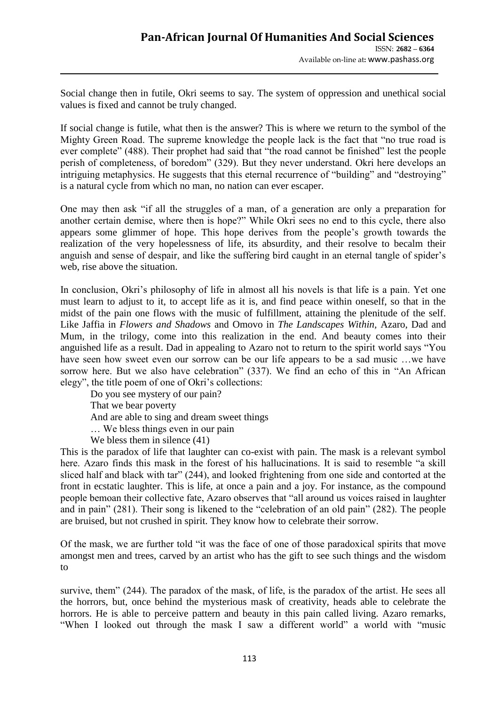Social change then in futile, Okri seems to say. The system of oppression and unethical social values is fixed and cannot be truly changed.

If social change is futile, what then is the answer? This is where we return to the symbol of the Mighty Green Road. The supreme knowledge the people lack is the fact that "no true road is ever complete" (488). Their prophet had said that "the road cannot be finished" lest the people perish of completeness, of boredom" (329). But they never understand. Okri here develops an intriguing metaphysics. He suggests that this eternal recurrence of "building" and "destroying" is a natural cycle from which no man, no nation can ever escaper.

One may then ask "if all the struggles of a man, of a generation are only a preparation for another certain demise, where then is hope?" While Okri sees no end to this cycle, there also appears some glimmer of hope. This hope derives from the people"s growth towards the realization of the very hopelessness of life, its absurdity, and their resolve to becalm their anguish and sense of despair, and like the suffering bird caught in an eternal tangle of spider"s web, rise above the situation.

In conclusion, Okri's philosophy of life in almost all his novels is that life is a pain. Yet one must learn to adjust to it, to accept life as it is, and find peace within oneself, so that in the midst of the pain one flows with the music of fulfillment, attaining the plenitude of the self. Like Jaffia in *Flowers and Shadows* and Omovo in *The Landscapes Within,* Azaro, Dad and Mum, in the trilogy, come into this realization in the end. And beauty comes into their anguished life as a result. Dad in appealing to Azaro not to return to the spirit world says "You have seen how sweet even our sorrow can be our life appears to be a sad music ...we have sorrow here. But we also have celebration" (337). We find an echo of this in "An African elegy", the title poem of one of Okri's collections:

Do you see mystery of our pain? That we bear poverty And are able to sing and dream sweet things … We bless things even in our pain

We bless them in silence  $(41)$ 

This is the paradox of life that laughter can co-exist with pain. The mask is a relevant symbol here. Azaro finds this mask in the forest of his hallucinations. It is said to resemble "a skill sliced half and black with tar" (244), and looked frightening from one side and contorted at the front in ecstatic laughter. This is life, at once a pain and a joy. For instance, as the compound people bemoan their collective fate, Azaro observes that "all around us voices raised in laughter and in pain" (281). Their song is likened to the "celebration of an old pain" (282). The people are bruised, but not crushed in spirit. They know how to celebrate their sorrow.

Of the mask, we are further told "it was the face of one of those paradoxical spirits that move amongst men and trees, carved by an artist who has the gift to see such things and the wisdom to

survive, them" (244). The paradox of the mask, of life, is the paradox of the artist. He sees all the horrors, but, once behind the mysterious mask of creativity, heads able to celebrate the horrors. He is able to perceive pattern and beauty in this pain called living. Azaro remarks, "When I looked out through the mask I saw a different world" a world with "music